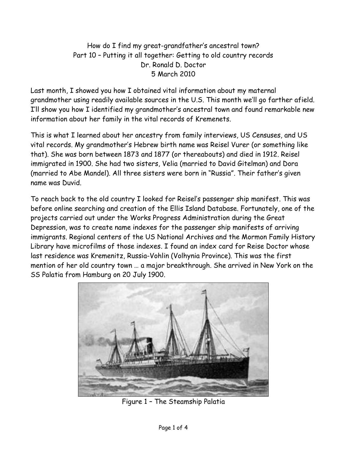## How do I find my great-grandfather's ancestral town? Part 10 – Putting it all together: Getting to old country records Dr. Ronald D. Doctor 5 March 2010

Last month, I showed you how I obtained vital information about my maternal grandmother using readily available sources in the U.S. This month we'll go farther afield. I'll show you how I identified my grandmother's ancestral town and found remarkable new information about her family in the vital records of Kremenets.

This is what I learned about her ancestry from family interviews, US Censuses, and US vital records. My grandmother's Hebrew birth name was Reisel Vurer (or something like that). She was born between 1873 and 1877 (or thereabouts) and died in 1912. Reisel immigrated in 1900. She had two sisters, Velia (married to David Gitelman) and Dora (married to Abe Mandel). All three sisters were born in "Russia". Their father's given name was Duvid.

To reach back to the old country I looked for Reisel's passenger ship manifest. This was before online searching and creation of the Ellis Island Database. Fortunately, one of the projects carried out under the Works Progress Administration during the Great Depression, was to create name indexes for the passenger ship manifests of arriving immigrants. Regional centers of the US National Archives and the Mormon Family History Library have microfilms of those indexes. I found an index card for Reise Doctor whose last residence was Kremenitz, Russia-Vohlin (Volhynia Province). This was the first mention of her old country town … a major breakthrough. She arrived in New York on the SS Palatia from Hamburg on 20 July 1900.



Figure 1 – The Steamship Palatia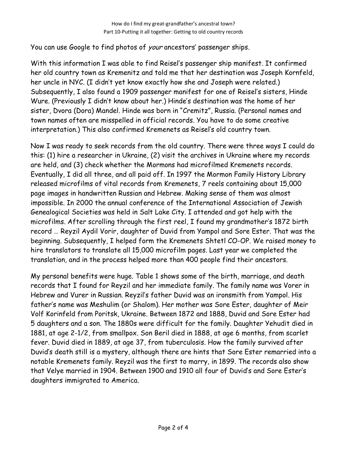You can use Google to find photos of your ancestors' passenger ships.

With this information I was able to find Reisel's passenger ship manifest. It confirmed her old country town as Kremenitz and told me that her destination was Joseph Kornfeld, her uncle in NYC. (I didn't yet know exactly how she and Joseph were related.) Subsequently, I also found a 1909 passenger manifest for one of Reisel's sisters, Hinde Wure. (Previously I didn't know about her.) Hinde's destination was the home of her sister, Dvora (Dora) Mandel. Hinde was born in "Cremitz", Russia. (Personal names and town names often are misspelled in official records. You have to do some creative interpretation.) This also confirmed Kremenets as Reisel's old country town.

Now I was ready to seek records from the old country. There were three ways I could do this: (1) hire a researcher in Ukraine, (2) visit the archives in Ukraine where my records are held, and (3) check whether the Mormons had microfilmed Kremenets records. Eventually, I did all three, and all paid off. In 1997 the Mormon Family History Library released microfilms of vital records from Kremenets, 7 reels containing about 15,000 page images in handwritten Russian and Hebrew. Making sense of them was almost impossible. In 2000 the annual conference of the International Association of Jewish Genealogical Societies was held in Salt Lake City. I attended and got help with the microfilms. After scrolling through the first reel, I found my grandmother's 1872 birth record … Reyzil Aydil Vorir, daughter of Duvid from Yampol and Sore Ester. That was the beginning. Subsequently, I helped form the Kremenets Shtetl CO-OP. We raised money to hire translators to translate all 15,000 microfilm pages. Last year we completed the translation, and in the process helped more than 400 people find their ancestors.

My personal benefits were huge. Table 1 shows some of the birth, marriage, and death records that I found for Reyzil and her immediate family. The family name was Vorer in Hebrew and Vurer in Russian. Reyzil's father Duvid was an ironsmith from Yampol. His father's name was Meshulim (or Shalom). Her mother was Sore Ester, daughter of Meir Volf Korinfeld from Poritsk, Ukraine. Between 1872 and 1888, Duvid and Sore Ester had 5 daughters and a son. The 1880s were difficult for the family. Daughter Yehudit died in 1881, at age 2-1/2, from smallpox. Son Beril died in 1888, at age 6 months, from scarlet fever. Duvid died in 1889, at age 37, from tuberculosis. How the family survived after Duvid's death still is a mystery, although there are hints that Sore Ester remarried into a notable Kremenets family. Reyzil was the first to marry, in 1899. The records also show that Velye married in 1904. Between 1900 and 1910 all four of Duvid's and Sore Ester's daughters immigrated to America.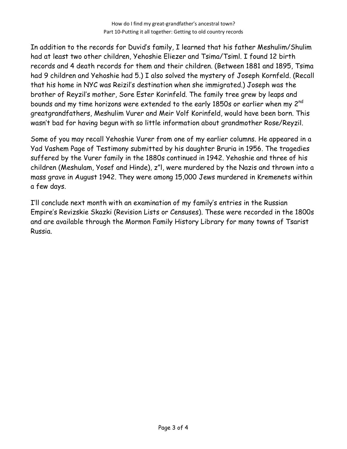How do I find my great-grandfather's ancestral town? Part 10-Putting it all together: Getting to old country records

In addition to the records for Duvid's family, I learned that his father Meshulim/Shulim had at least two other children, Yehoshie Eliezer and Tsima/Tsiml. I found 12 birth records and 4 death records for them and their children. (Between 1881 and 1895, Tsima had 9 children and Yehoshie had 5.) I also solved the mystery of Joseph Kornfeld. (Recall that his home in NYC was Reizil's destination when she immigrated.) Joseph was the brother of Reyzil's mother, Sore Ester Korinfeld. The family tree grew by leaps and bounds and my time horizons were extended to the early 1850s or earlier when my 2<sup>nd</sup> greatgrandfathers, Meshulim Vurer and Meir Volf Korinfeld, would have been born. This wasn't bad for having begun with so little information about grandmother Rose/Reyzil.

Some of you may recall Yehoshie Vurer from one of my earlier columns. He appeared in a Yad Vashem Page of Testimony submitted by his daughter Bruria in 1956. The tragedies suffered by the Vurer family in the 1880s continued in 1942. Yehoshie and three of his children (Meshulam, Yosef and Hinde), z"l, were murdered by the Nazis and thrown into a mass grave in August 1942. They were among 15,000 Jews murdered in Kremenets within a few days.

I'll conclude next month with an examination of my family's entries in the Russian Empire's Revizskie Skazki (Revision Lists or Censuses). These were recorded in the 1800s and are available through the Mormon Family History Library for many towns of Tsarist Russia.